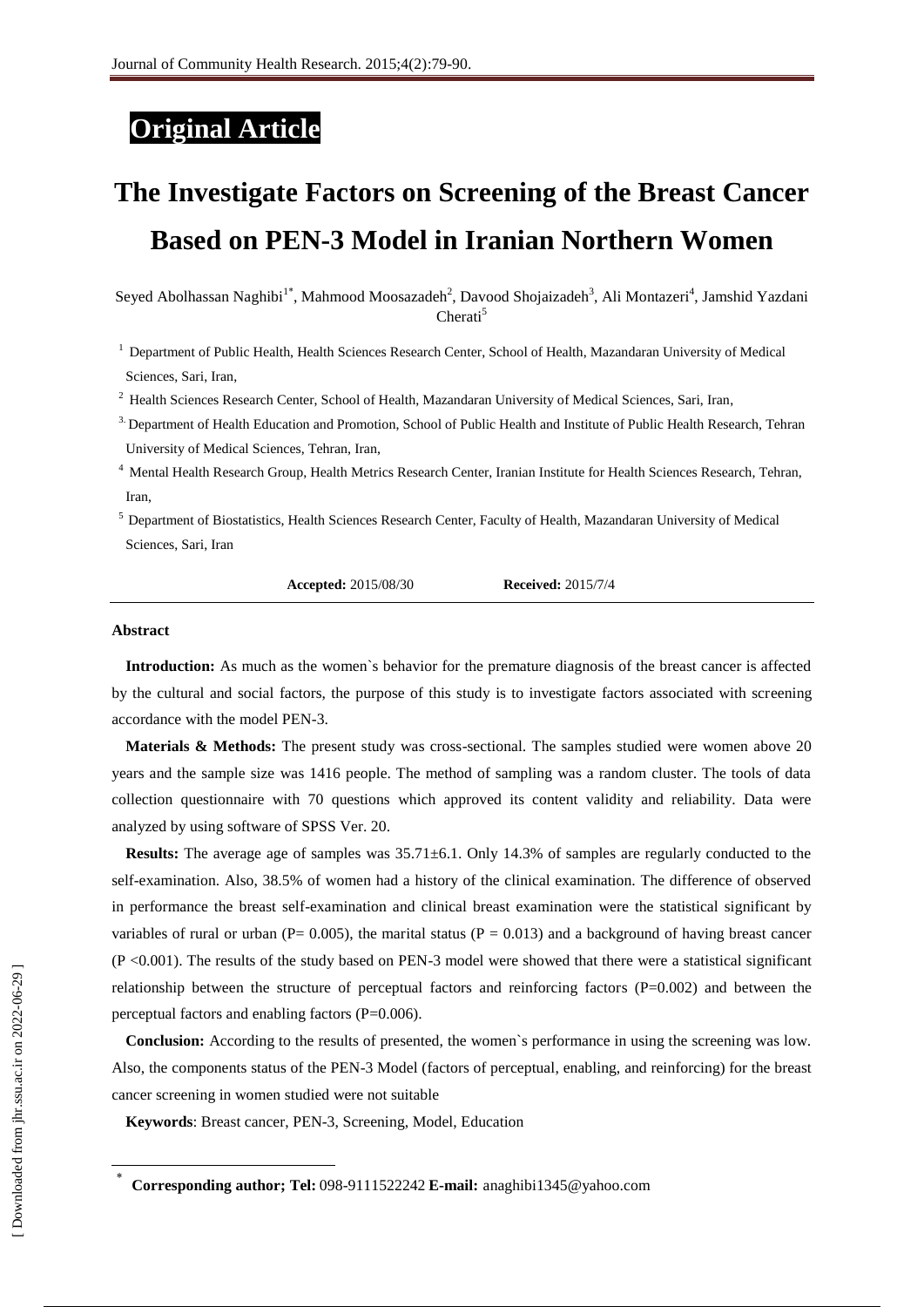## **Original Article**

# **[The Investigate Factors on Screening of the Breast Cancer](http://jhr.ssu.ac.ir/files/site1/user_files_f703af/moosazadeh-A-11-1101-1-df0d470.docx)  [Based on PEN-3 Model in Iranian Northern Women](http://jhr.ssu.ac.ir/files/site1/user_files_f703af/moosazadeh-A-11-1101-1-df0d470.docx)**

Seyed Abolhassan Naghibi<sup>1\*</sup>, Mahmood Moosazadeh<sup>2</sup>, Davood Shojaizadeh<sup>3</sup>, Ali Montazeri<sup>4</sup>, Jamshid Yazdani Cherati<sup>5</sup>

<sup>1</sup> Department of Public Health, Health Sciences Research Center, School of Health, Mazandaran University of Medical Sciences, Sari, Iran,

<sup>2</sup> Health Sciences Research Center, School of Health, Mazandaran University of Medical Sciences, Sari, Iran,

<sup>3.</sup> Department of Health Education and Promotion, School of Public Health and Institute of Public Health Research, Tehran University of Medical Sciences, Tehran, Iran,

- <sup>4</sup> Mental Health Research Group, Health Metrics Research Center, Iranian Institute for Health Sciences Research, Tehran, Iran,
- <sup>5</sup> Department of Biostatistics, Health Sciences Research Center, Faculty of Health, Mazandaran University of Medical Sciences, Sari, Iran

**Accepted:** 2015/08/30 **Received:** 2015/7/4

#### **Abstract**

**Introduction:** As much as the women`s behavior for the premature diagnosis of the breast cancer is affected by the cultural and social factors, the purpose of this study is to investigate factors associated with screening accordance with the model PEN-3.

**Materials & Methods:** The present study was cross-sectional. The samples studied were women above 20 years and the sample size was 1416 people. The method of sampling was a random cluster. The tools of data collection questionnaire with 70 questions which approved its content validity and reliability. Data were analyzed by using software of SPSS Ver. 20.

**Results:** The average age of samples was  $35.71\pm6.1$ . Only 14.3% of samples are regularly conducted to the self-examination. Also, 38.5% of women had a history of the clinical examination. The difference of observed in performance the breast self-examination and clinical breast examination were the statistical significant by variables of rural or urban ( $P = 0.005$ ), the marital status ( $P = 0.013$ ) and a background of having breast cancer (P <0.001). The results of the study based on PEN-3 model were showed that there were a statistical significant relationship between the structure of perceptual factors and reinforcing factors (P=0.002) and between the perceptual factors and enabling factors (P=0.006).

**Conclusion:** According to the results of presented, the women`s performance in using the screening was low. Also, the components status of the PEN-3 Model (factors of perceptual, enabling, and reinforcing) for the breast cancer screening in women studied were not suitable

**Keywords**[: Breast cancer,](http://jhr.ssu.ac.ir/search.php?slc_lang=en&sid=1&key=Breast+cancer) [PEN-3,](http://jhr.ssu.ac.ir/search.php?slc_lang=en&sid=1&key=PEN-3) [Screening,](http://jhr.ssu.ac.ir/search.php?slc_lang=en&sid=1&key=Screening) [Model,](http://jhr.ssu.ac.ir/search.php?slc_lang=en&sid=1&key=Model) [Education](http://jhr.ssu.ac.ir/search.php?slc_lang=en&sid=1&key=Education)

 $\overline{\phantom{a}}$ 

<sup>\*</sup> **Corresponding author; Tel:** 098-9111522242 **E-mail:** [anaghibi1345@yahoo.com](mailto:anaghibi1345@yahoo.com)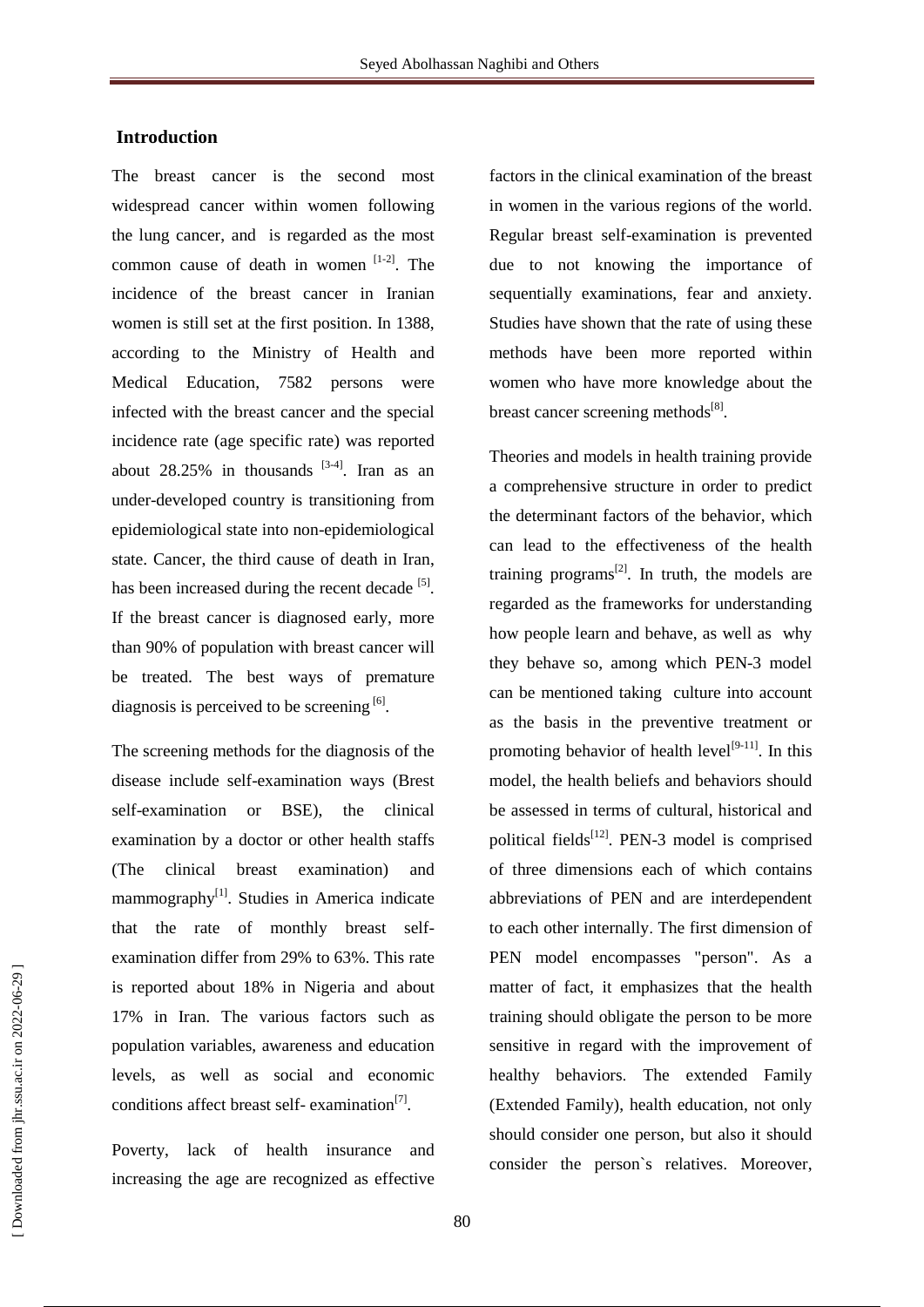#### **Introduction**

The breast cancer is the second most widespread cancer within women following the lung cancer, and is regarded as the most common cause of death in women  $[1-2]$ . The incidence of the breast cancer in Iranian women is still set at the first position. In 1388, according to the Ministry of Health and Medical Education, 7582 persons were infected with the breast cancer and the special incidence rate (age specific rate) was reported about  $28.25\%$  in thousands  $[3-4]$ . Iran as an under-developed country is transitioning from epidemiological state into non-epidemiological state. Cancer, the third cause of death in Iran, has been increased during the recent decade  $[5]$ . If the breast cancer is diagnosed early, more than 90% of population with breast cancer will be treated. The best ways of premature diagnosis is perceived to be screening  $[6]$ .

The screening methods for the diagnosis of the disease include self-examination ways (Brest self-examination or BSE), the clinical examination by a doctor or other health staffs (The clinical breast examination) and mammography<sup>[1]</sup>. Studies in America indicate that the rate of monthly breast selfexamination differ from 29% to 63%. This rate is reported about 18% in Nigeria and about 17% in Iran. The various factors such as population variables, awareness and education levels, as well as social and economic conditions affect breast self-examination<sup>[7]</sup>.

Poverty, lack of health insurance and increasing the age are recognized as effective factors in the clinical examination of the breast in women in the various regions of the world. Regular breast self-examination is prevented due to not knowing the importance of sequentially examinations, fear and anxiety. Studies have shown that the rate of using these methods have been more reported within women who have more knowledge about the breast cancer screening methods<sup>[8]</sup>.

Theories and models in health training provide a comprehensive structure in order to predict the determinant factors of the behavior, which can lead to the effectiveness of the health training programs $^{[2]}$ . In truth, the models are regarded as the frameworks for understanding how people learn and behave, as well as why they behave so, among which PEN-3 model can be mentioned taking culture into account as the basis in the preventive treatment or promoting behavior of health level<sup>[9-11]</sup>. In this model, the health beliefs and behaviors should be assessed in terms of cultural, historical and political fields<sup>[12]</sup>. PEN-3 model is comprised of three dimensions each of which contains abbreviations of PEN and are interdependent to each other internally. The first dimension of PEN model encompasses "person". As a matter of fact, it emphasizes that the health training should obligate the person to be more sensitive in regard with the improvement of healthy behaviors. The extended Family (Extended Family), health education, not only should consider one person, but also it should consider the person`s relatives. Moreover,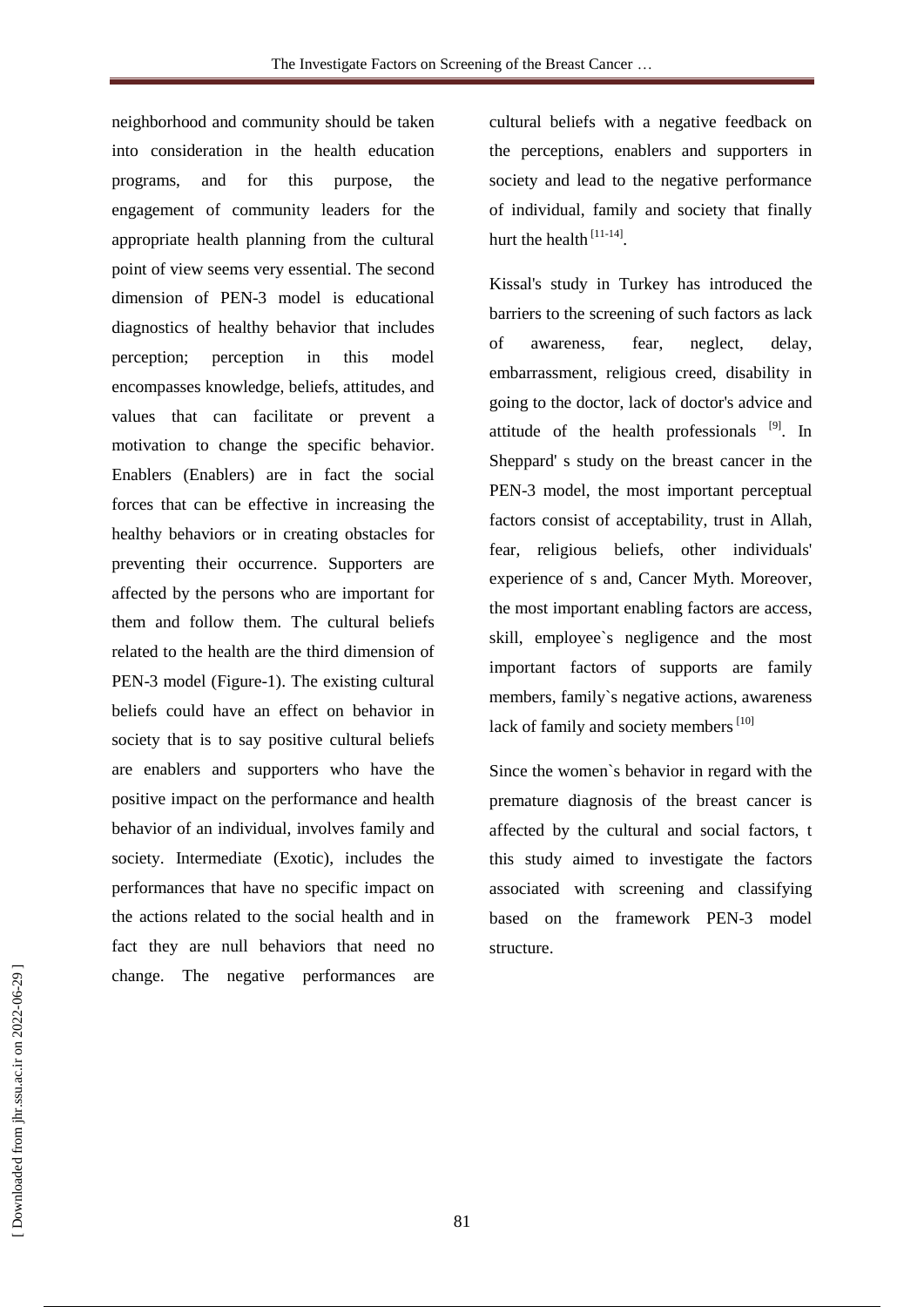neighborhood and community should be taken into consideration in the health education programs, and for this purpose, the engagement of community leaders for the appropriate health planning from the cultural point of view seems very essential. The second dimension of PEN-3 model is educational diagnostics of healthy behavior that includes perception; perception in this model encompasses knowledge, beliefs, attitudes, and values that can facilitate or prevent a motivation to change the specific behavior. Enablers (Enablers) are in fact the social forces that can be effective in increasing the healthy behaviors or in creating obstacles for preventing their occurrence. Supporters are affected by the persons who are important for them and follow them. The cultural beliefs related to the health are the third dimension of PEN-3 model (Figure-1). The existing cultural beliefs could have an effect on behavior in society that is to say positive cultural beliefs are enablers and supporters who have the positive impact on the performance and health behavior of an individual, involves family and society. Intermediate (Exotic), includes the performances that have no specific impact on the actions related to the social health and in fact they are null behaviors that need no change. The negative performances are

cultural beliefs with a negative feedback on the perceptions, enablers and supporters in society and lead to the negative performance of individual, family and society that finally hurt the health  $[11-14]$ .

Kissal's study in Turkey has introduced the barriers to the screening of such factors as lack of awareness, fear, neglect, delay, embarrassment, religious creed, disability in going to the doctor, lack of doctor's advice and attitude of the health professionals <sup>[9]</sup>. In Sheppard' s study on the breast cancer in the PEN-3 model, the most important perceptual factors consist of acceptability, trust in Allah, fear, religious beliefs, other individuals' experience of s and, Cancer Myth. Moreover, the most important enabling factors are access, skill, employee`s negligence and the most important factors of supports are family members, family`s negative actions, awareness lack of family and society members<sup>[10]</sup>

Since the women`s behavior in regard with the premature diagnosis of the breast cancer is affected by the cultural and social factors, t this study aimed to investigate the factors associated with screening and classifying based on the framework PEN-3 model structure.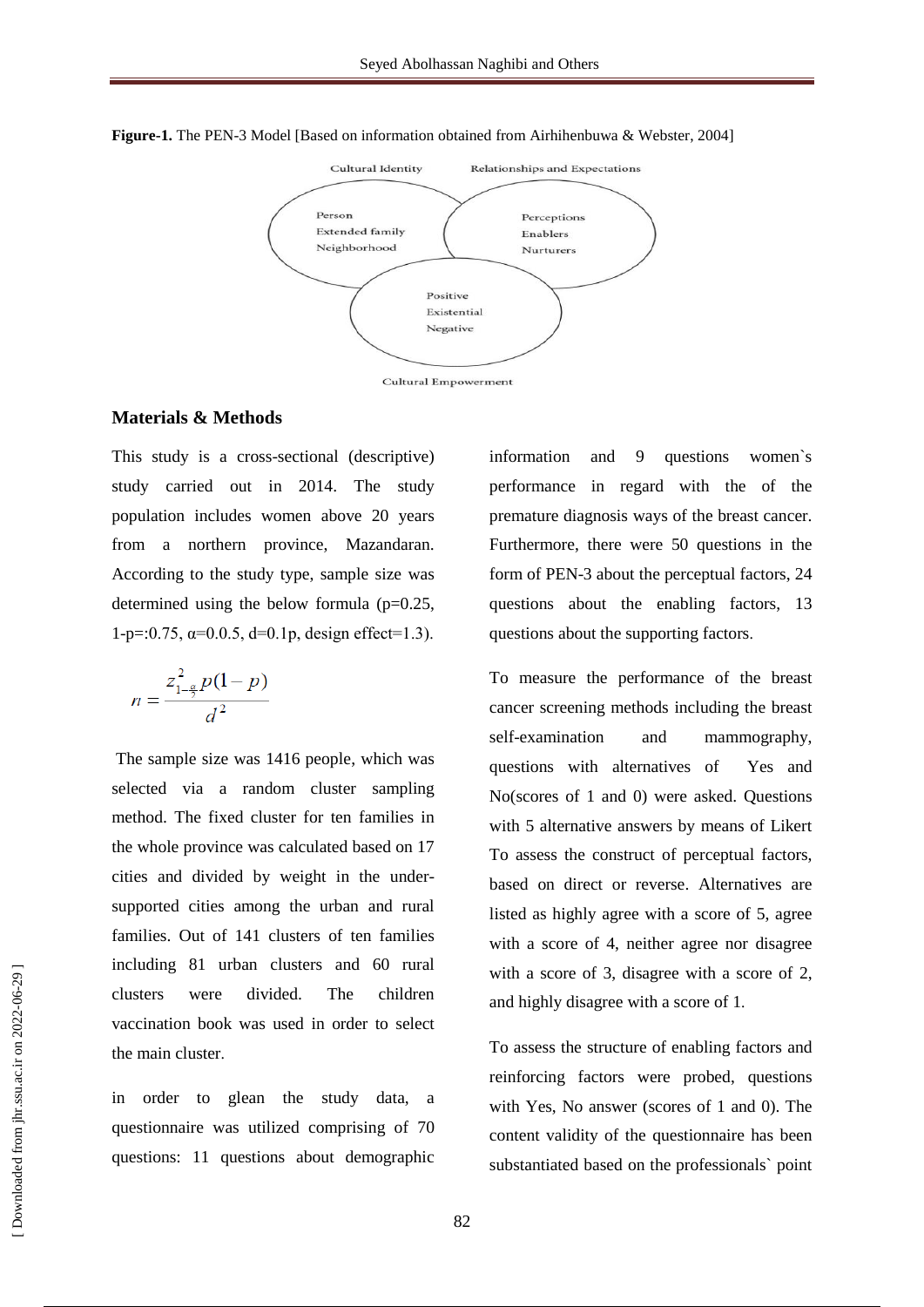

**Figure-1.** The PEN-3 Model [Based on information obtained from Airhihenbuwa & Webster, 2004]

#### **Materials & Methods**

This study is a cross-sectional (descriptive) study carried out in 2014. The study population includes women above 20 years from a northern province, Mazandaran. According to the study type, sample size was determined using the below formula  $(p=0.25,$  $1-p=0.75$ ,  $\alpha=0.0.5$ ,  $d=0.1p$ , design effect=1.3).

$$
n = \frac{z_{1-\frac{\alpha}{2}}^2 p(1-p)}{d^2}
$$

The sample size was 1416 people, which was selected via a random cluster sampling method. The fixed cluster for ten families in the whole province was calculated based on 17 cities and divided by weight in the undersupported cities among the urban and rural families. Out of 141 clusters of ten families including 81 urban clusters and 60 rural clusters were divided. The children vaccination book was used in order to select the main cluster.

in order to glean the study data, a questionnaire was utilized comprising of 70 questions: 11 questions about demographic information and 9 questions women`s performance in regard with the of the premature diagnosis ways of the breast cancer. Furthermore, there were 50 questions in the form of PEN-3 about the perceptual factors, 24 questions about the enabling factors, 13 questions about the supporting factors.

To measure the performance of the breast cancer screening methods including the breast self-examination and mammography, questions with alternatives of Yes and No(scores of 1 and 0) were asked. Questions with 5 alternative answers by means of Likert To assess the construct of perceptual factors, based on direct or reverse. Alternatives are listed as highly agree with a score of 5, agree with a score of 4, neither agree nor disagree with a score of 3, disagree with a score of 2, and highly disagree with a score of 1.

To assess the structure of enabling factors and reinforcing factors were probed, questions with Yes, No answer (scores of 1 and 0). The content validity of the questionnaire has been substantiated based on the professionals` point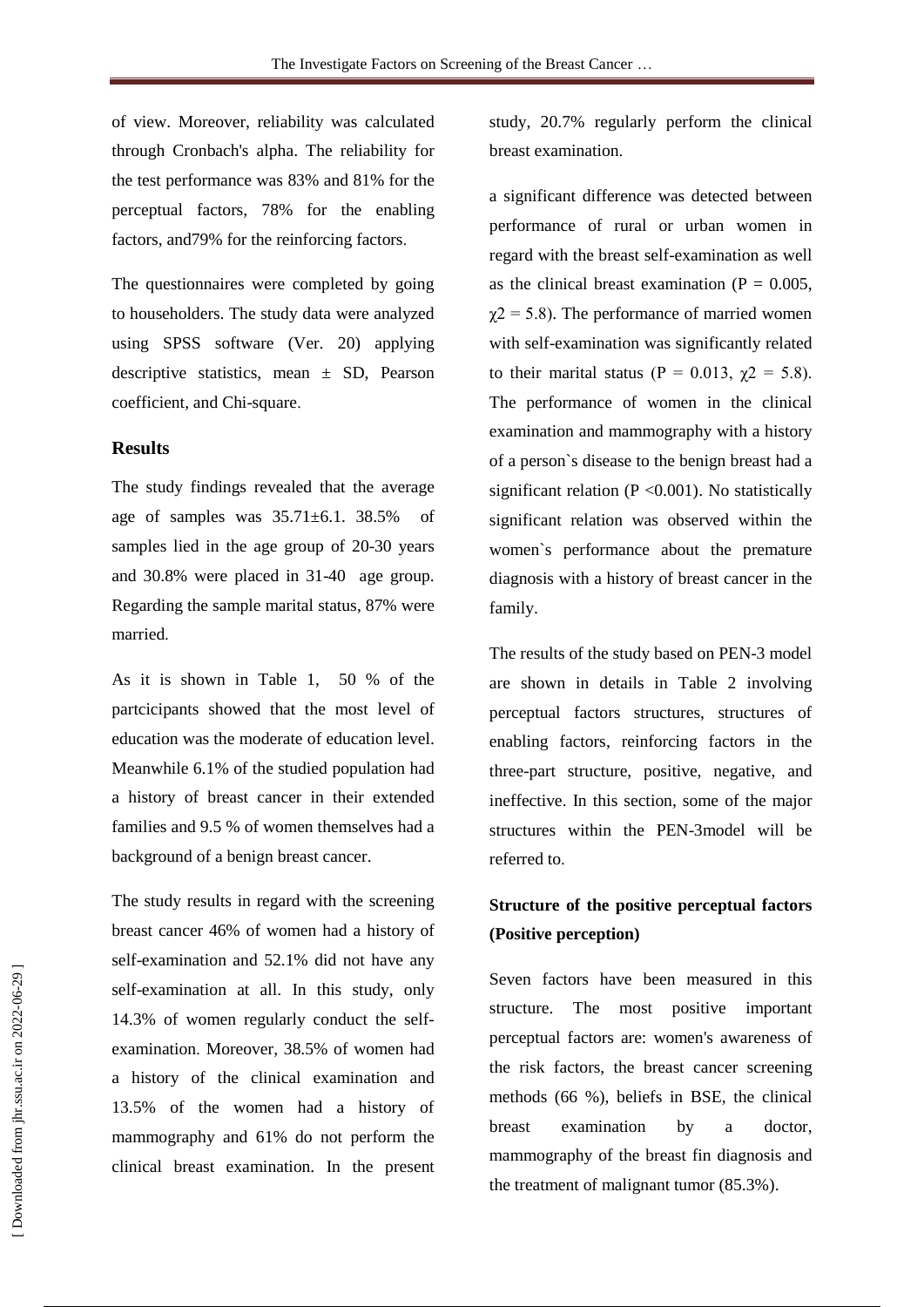of view. Moreover, reliability was calculated through Cronbach's alpha. The reliability for the test performance was 83% and 81% for the perceptual factors, 78% for the enabling factors, and79% for the reinforcing factors.

The questionnaires were completed by going to householders. The study data were analyzed using SPSS software (Ver. 20) applying descriptive statistics, mean ± SD, Pearson coefficient, and Chi-square.

#### **Results**

The study findings revealed that the average age of samples was  $35.71 \pm 6.1$ .  $38.5\%$ samples lied in the age group of 20-30 years and 30.8% were placed in 31-40 age group. Regarding the sample marital status, 87% were married.

As it is shown in Table 1, 50 % of the partcicipants showed that the most level of education was the moderate of education level. Meanwhile 6.1% of the studied population had a history of breast cancer in their extended families and 9.5 % of women themselves had a background of a benign breast cancer.

The study results in regard with the screening breast cancer 46% of women had a history of self-examination and 52.1% did not have any self-examination at all. In this study, only 14.3% of women regularly conduct the selfexamination. Moreover, 38.5% of women had a history of the clinical examination and 13.5% of the women had a history of mammography and 61% do not perform the clinical breast examination. In the present study, 20.7% regularly perform the clinical breast examination.

a significant difference was detected between performance of rural or urban women in regard with the breast self-examination as well as the clinical breast examination ( $P = 0.005$ ,  $\chi$ 2 = 5.8). The performance of married women with self-examination was significantly related to their marital status (P = 0.013,  $\gamma$ 2 = 5.8). The performance of women in the clinical examination and mammography with a history of a person`s disease to the benign breast had a significant relation  $(P \le 0.001)$ . No statistically significant relation was observed within the women`s performance about the premature diagnosis with a history of breast cancer in the family.

The results of the study based on PEN-3 model are shown in details in Table 2 involving perceptual factors structures, structures of enabling factors, reinforcing factors in the three-part structure, positive, negative, and ineffective. In this section, some of the major structures within the PEN-3model will be referred to.

## **Structure of the positive perceptual factors (Positive perception)**

Seven factors have been measured in this structure. The most positive important perceptual factors are: women's awareness of the risk factors, the breast cancer screening methods (66 %), beliefs in BSE, the clinical breast examination by a doctor, mammography of the breast fin diagnosis and the treatment of malignant tumor (85.3%).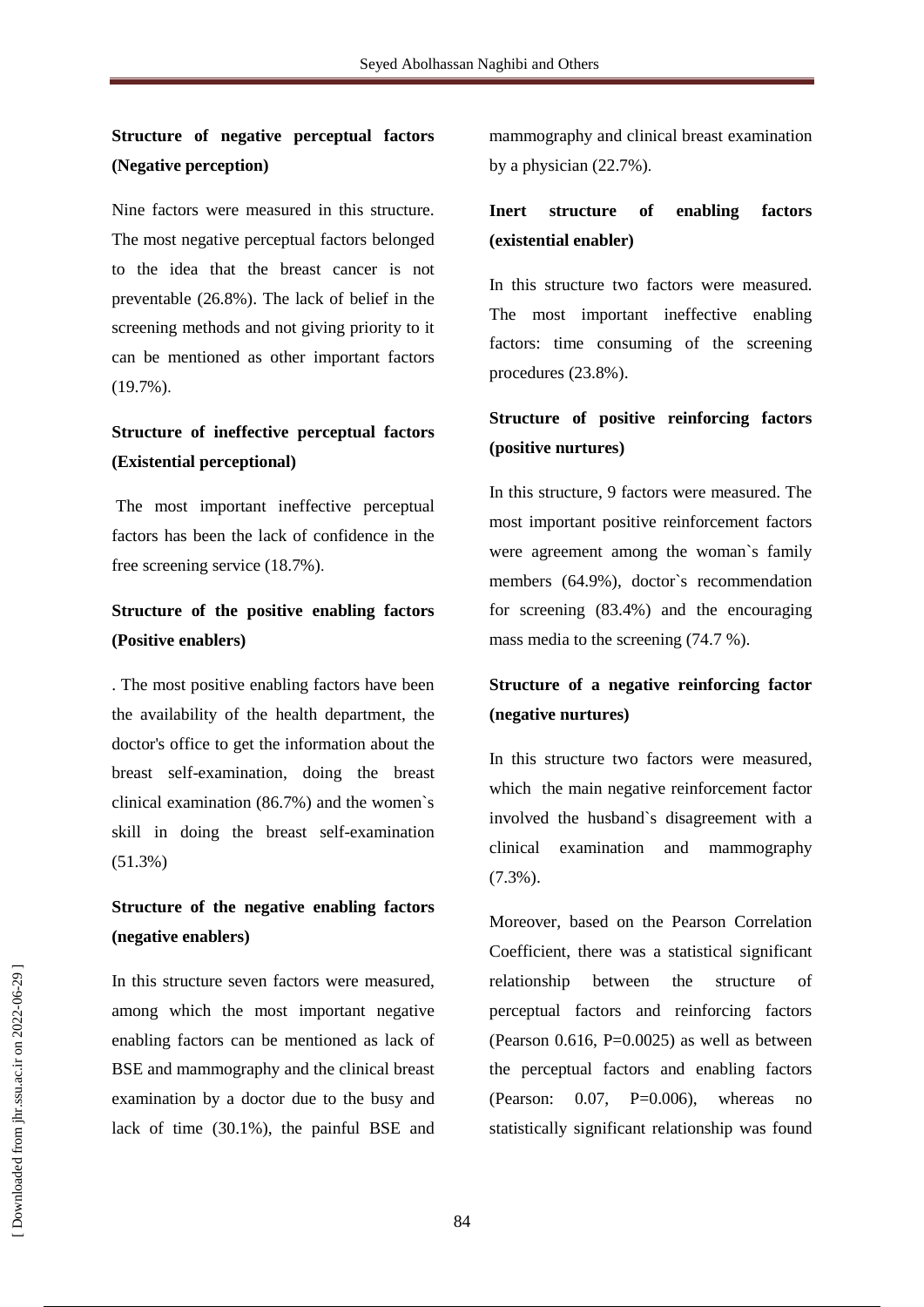## **Structure of negative perceptual factors (Negative perception)**

Nine factors were measured in this structure. The most negative perceptual factors belonged to the idea that the breast cancer is not preventable (26.8%). The lack of belief in the screening methods and not giving priority to it can be mentioned as other important factors (19.7%).

## **Structure of ineffective perceptual factors (Existential perceptional)**

The most important ineffective perceptual factors has been the lack of confidence in the free screening service (18.7%).

## **Structure of the positive enabling factors (Positive enablers)**

. The most positive enabling factors have been the availability of the health department, the doctor's office to get the information about the breast self-examination, doing the breast clinical examination (86.7%) and the women`s skill in doing the breast self-examination (51.3%)

## **Structure of the negative enabling factors (negative enablers)**

In this structure seven factors were measured, among which the most important negative enabling factors can be mentioned as lack of BSE and mammography and the clinical breast examination by a doctor due to the busy and lack of time (30.1%), the painful BSE and mammography and clinical breast examination by a physician (22.7%).

## **Inert structure of enabling factors (existential enabler)**

In this structure two factors were measured. The most important ineffective enabling factors: time consuming of the screening procedures (23.8%).

## **Structure of positive reinforcing factors (positive nurtures)**

In this structure, 9 factors were measured. The most important positive reinforcement factors were agreement among the woman`s family members (64.9%), doctor`s recommendation for screening (83.4%) and the encouraging mass media to the screening (74.7 %).

## **Structure of a negative reinforcing factor (negative nurtures)**

In this structure two factors were measured, which the main negative reinforcement factor involved the husband`s disagreement with a clinical examination and mammography (7.3%).

Moreover, based on the Pearson Correlation Coefficient, there was a statistical significant relationship between the structure of perceptual factors and reinforcing factors (Pearson  $0.616$ , P=0.0025) as well as between the perceptual factors and enabling factors (Pearson:  $0.07$ , P=0.006), whereas no statistically significant relationship was found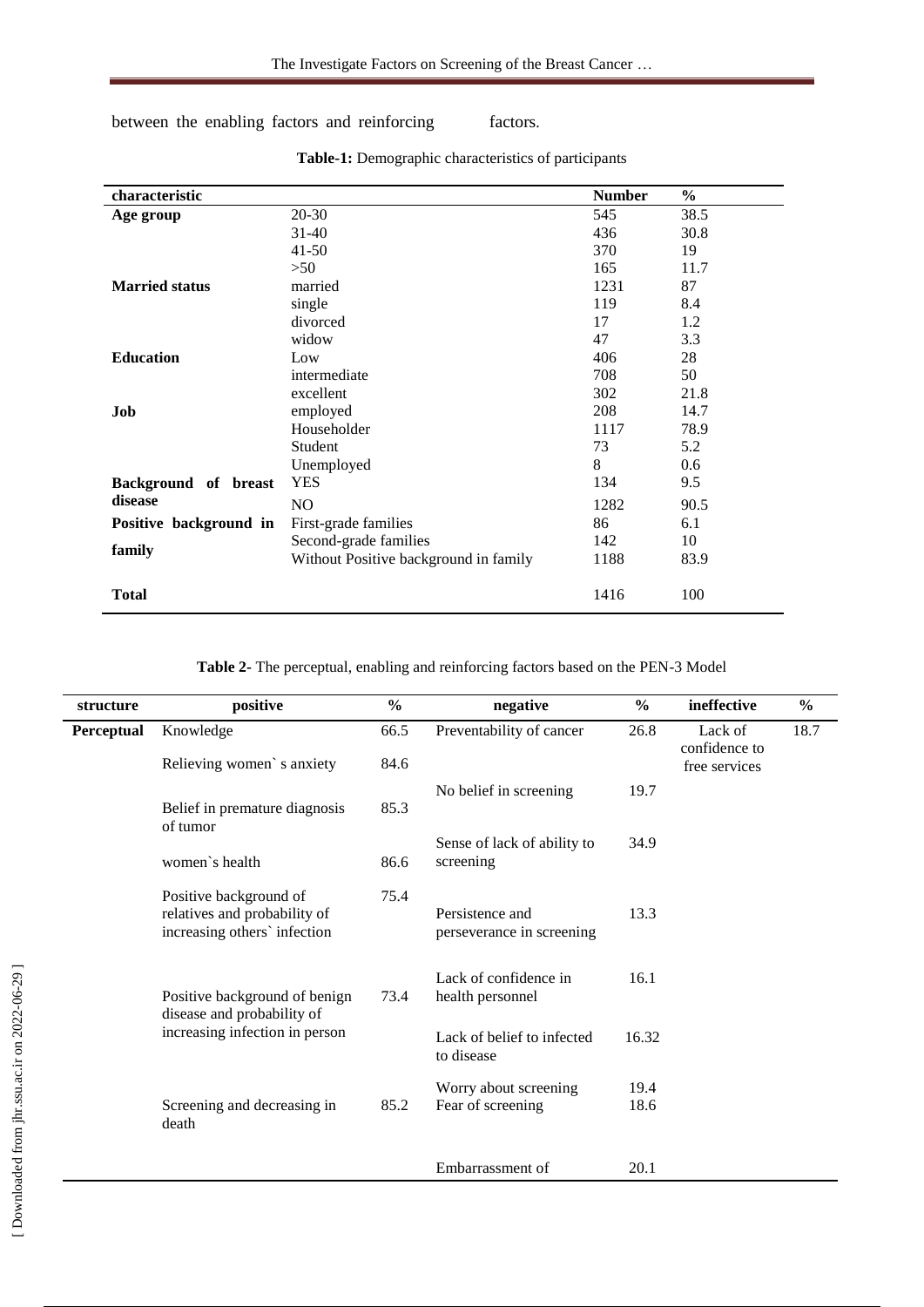between the enabling factors and reinforcing factors.

| characteristic         |                                       | <b>Number</b> | $\frac{6}{9}$ |
|------------------------|---------------------------------------|---------------|---------------|
| Age group              | $20 - 30$                             | 545           | 38.5          |
|                        | $31 - 40$                             | 436           | 30.8          |
|                        | $41 - 50$                             | 370           | 19            |
|                        | >50                                   | 165           | 11.7          |
| <b>Married status</b>  | married                               | 1231          | 87            |
|                        | single                                | 119           | 8.4           |
|                        | divorced                              | 17            | 1.2           |
|                        | widow                                 | 47            | 3.3           |
| <b>Education</b>       | Low                                   | 406           | 28            |
|                        | intermediate                          | 708           | 50            |
|                        | excellent                             | 302           | 21.8          |
| Job                    | employed                              | 208           | 14.7          |
|                        | Householder                           | 1117          | 78.9          |
|                        | Student                               | 73            | 5.2           |
|                        | Unemployed                            | 8             | 0.6           |
| Background of breast   | <b>YES</b>                            | 134           | 9.5           |
| disease                | N <sub>O</sub>                        | 1282          | 90.5          |
| Positive background in | First-grade families                  | 86            | 6.1           |
|                        | Second-grade families                 | 142           | 10            |
| family                 | Without Positive background in family | 1188          | 83.9          |
| <b>Total</b>           |                                       | 1416          | 100           |

**Table-1:** Demographic characteristics of participants

| structure  | positive                                                                               | $\frac{0}{0}$ | negative                                     | $\frac{6}{9}$ | ineffective                               | $\frac{6}{9}$ |
|------------|----------------------------------------------------------------------------------------|---------------|----------------------------------------------|---------------|-------------------------------------------|---------------|
| Perceptual | Knowledge<br>Relieving women's anxiety                                                 | 66.5<br>84.6  | Preventability of cancer                     | 26.8          | Lack of<br>confidence to<br>free services | 18.7          |
|            | Belief in premature diagnosis<br>of tumor                                              | 85.3          | No belief in screening                       | 19.7          |                                           |               |
|            | women's health                                                                         | 86.6          | Sense of lack of ability to<br>screening     | 34.9          |                                           |               |
|            | Positive background of<br>relatives and probability of<br>increasing others' infection | 75.4          | Persistence and<br>perseverance in screening | 13.3          |                                           |               |
|            | Positive background of benign<br>disease and probability of                            | 73.4          | Lack of confidence in<br>health personnel    | 16.1          |                                           |               |
|            | increasing infection in person                                                         |               | Lack of belief to infected<br>to disease     | 16.32         |                                           |               |
|            | Screening and decreasing in<br>death                                                   | 85.2          | Worry about screening<br>Fear of screening   | 19.4<br>18.6  |                                           |               |
|            |                                                                                        |               | Embarrassment of                             | 20.1          |                                           |               |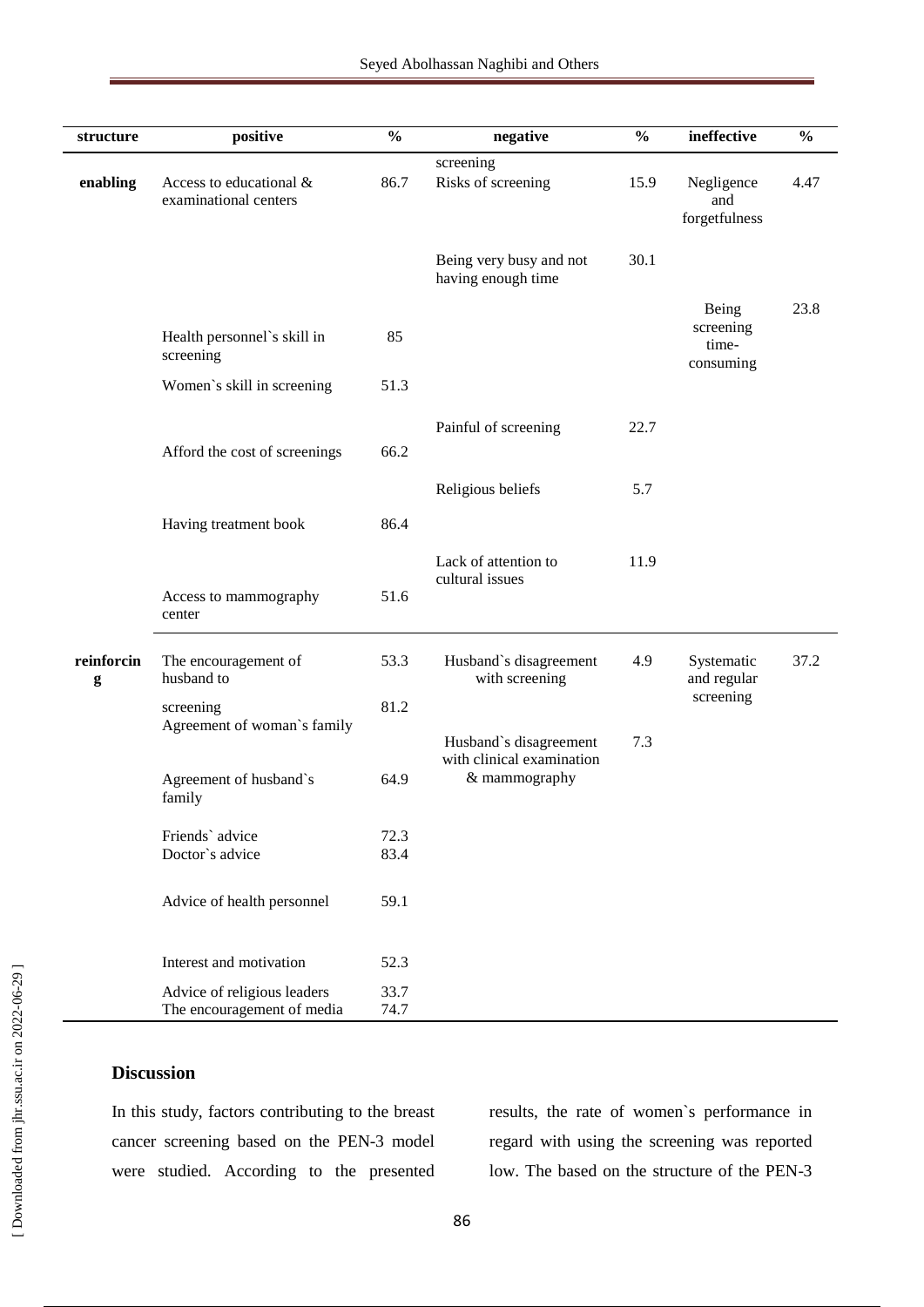| structure       | positive                                                  | $\frac{0}{0}$ | negative                                            | $\frac{0}{0}$ | ineffective                              | $\frac{0}{0}$ |
|-----------------|-----------------------------------------------------------|---------------|-----------------------------------------------------|---------------|------------------------------------------|---------------|
| enabling        | Access to educational &<br>examinational centers          | 86.7          | screening<br>Risks of screening                     | 15.9          | Negligence<br>and<br>forgetfulness       | 4.47          |
|                 |                                                           |               | Being very busy and not<br>having enough time       | 30.1          |                                          |               |
|                 | Health personnel's skill in<br>screening                  | 85            |                                                     |               | Being<br>screening<br>time-<br>consuming | 23.8          |
|                 | Women's skill in screening                                | 51.3          |                                                     |               |                                          |               |
|                 | Afford the cost of screenings                             | 66.2          | Painful of screening                                | 22.7          |                                          |               |
|                 |                                                           |               | Religious beliefs                                   | 5.7           |                                          |               |
|                 | Having treatment book                                     | 86.4          |                                                     |               |                                          |               |
|                 | Access to mammography<br>center                           | 51.6          | Lack of attention to<br>cultural issues             | 11.9          |                                          |               |
| reinforcin<br>g | The encouragement of<br>husband to                        | 53.3          | Husband's disagreement<br>with screening            | 4.9           | Systematic<br>and regular                | 37.2          |
|                 | screening                                                 | 81.2          |                                                     |               | screening                                |               |
|                 | Agreement of woman's family                               |               | Husband's disagreement<br>with clinical examination | 7.3           |                                          |               |
|                 | Agreement of husband's<br>family                          | 64.9          | & mammography                                       |               |                                          |               |
|                 | Friends' advice                                           | 72.3          |                                                     |               |                                          |               |
|                 | Doctor's advice                                           | 83.4          |                                                     |               |                                          |               |
|                 | Advice of health personnel                                | 59.1          |                                                     |               |                                          |               |
|                 | Interest and motivation                                   | 52.3          |                                                     |               |                                          |               |
|                 | Advice of religious leaders<br>The encouragement of media | 33.7<br>74.7  |                                                     |               |                                          |               |

#### **Discussion**

In this study, factors contributing to the breast cancer screening based on the PEN-3 model were studied. According to the presented

results, the rate of women`s performance in regard with using the screening was reported low. The based on the structure of the PEN-3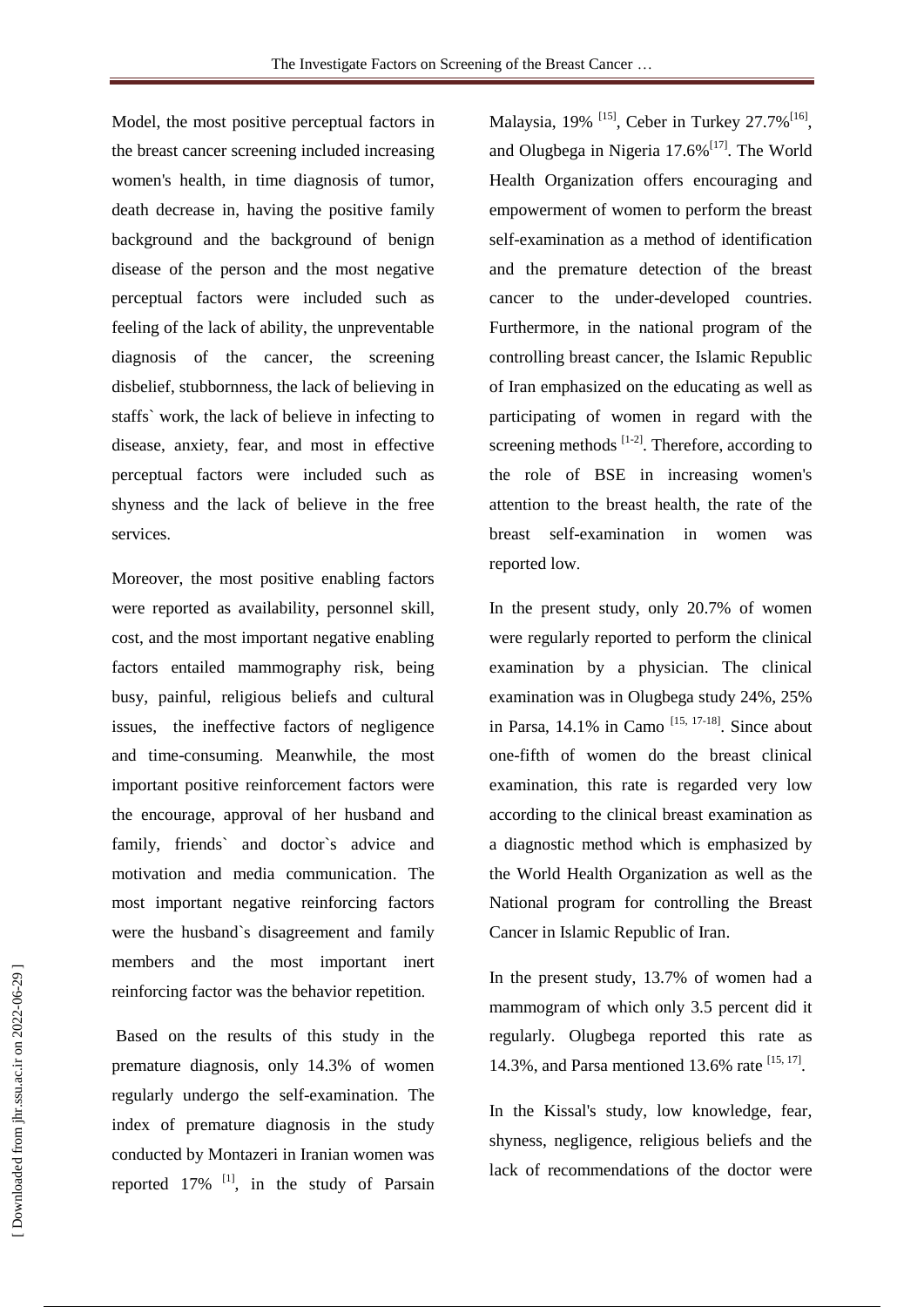Model, the most positive perceptual factors in the breast cancer screening included increasing women's health, in time diagnosis of tumor, death decrease in, having the positive family background and the background of benign disease of the person and the most negative perceptual factors were included such as feeling of the lack of ability, the unpreventable diagnosis of the cancer, the screening disbelief, stubbornness, the lack of believing in staffs` work, the lack of believe in infecting to disease, anxiety, fear, and most in effective perceptual factors were included such as shyness and the lack of believe in the free services.

Moreover, the most positive enabling factors were reported as availability, personnel skill, cost, and the most important negative enabling factors entailed mammography risk, being busy, painful, religious beliefs and cultural issues, the ineffective factors of negligence and time-consuming. Meanwhile, the most important positive reinforcement factors were the encourage, approval of her husband and family, friends` and doctor`s advice and motivation and media communication. The most important negative reinforcing factors were the husband`s disagreement and family members and the most important inert reinforcing factor was the behavior repetition.

Based on the results of this study in the premature diagnosis, only 14.3% of women regularly undergo the self-examination. The index of premature diagnosis in the study conducted by Montazeri in Iranian women was reported  $17\%$  <sup>[1]</sup>, in the study of Parsain Malaysia, 19% <sup>[15]</sup>, Ceber in Turkey 27.7%<sup>[16]</sup>, and Olugbega in Nigeria 17.6%<sup>[17]</sup>. The World Health Organization offers encouraging and empowerment of women to perform the breast self-examination as a method of identification and the premature detection of the breast cancer to the under-developed countries. Furthermore, in the national program of the controlling breast cancer, the Islamic Republic of Iran emphasized on the educating as well as participating of women in regard with the screening methods  $[1-2]$ . Therefore, according to the role of BSE in increasing women's attention to the breast health, the rate of the breast self-examination in women was reported low.

In the present study, only 20.7% of women were regularly reported to perform the clinical examination by a physician. The clinical examination was in Olugbega study 24%, 25% in Parsa,  $14.1\%$  in Camo<sup>[15, 17-18]</sup>. Since about one-fifth of women do the breast clinical examination, this rate is regarded very low according to the clinical breast examination as a diagnostic method which is emphasized by the World Health Organization as well as the National program for controlling the Breast Cancer in Islamic Republic of Iran.

In the present study, 13.7% of women had a mammogram of which only 3.5 percent did it regularly. Olugbega reported this rate as 14.3%, and Parsa mentioned 13.6% rate [15, 17].

In the Kissal's study, low knowledge, fear, shyness, negligence, religious beliefs and the lack of recommendations of the doctor were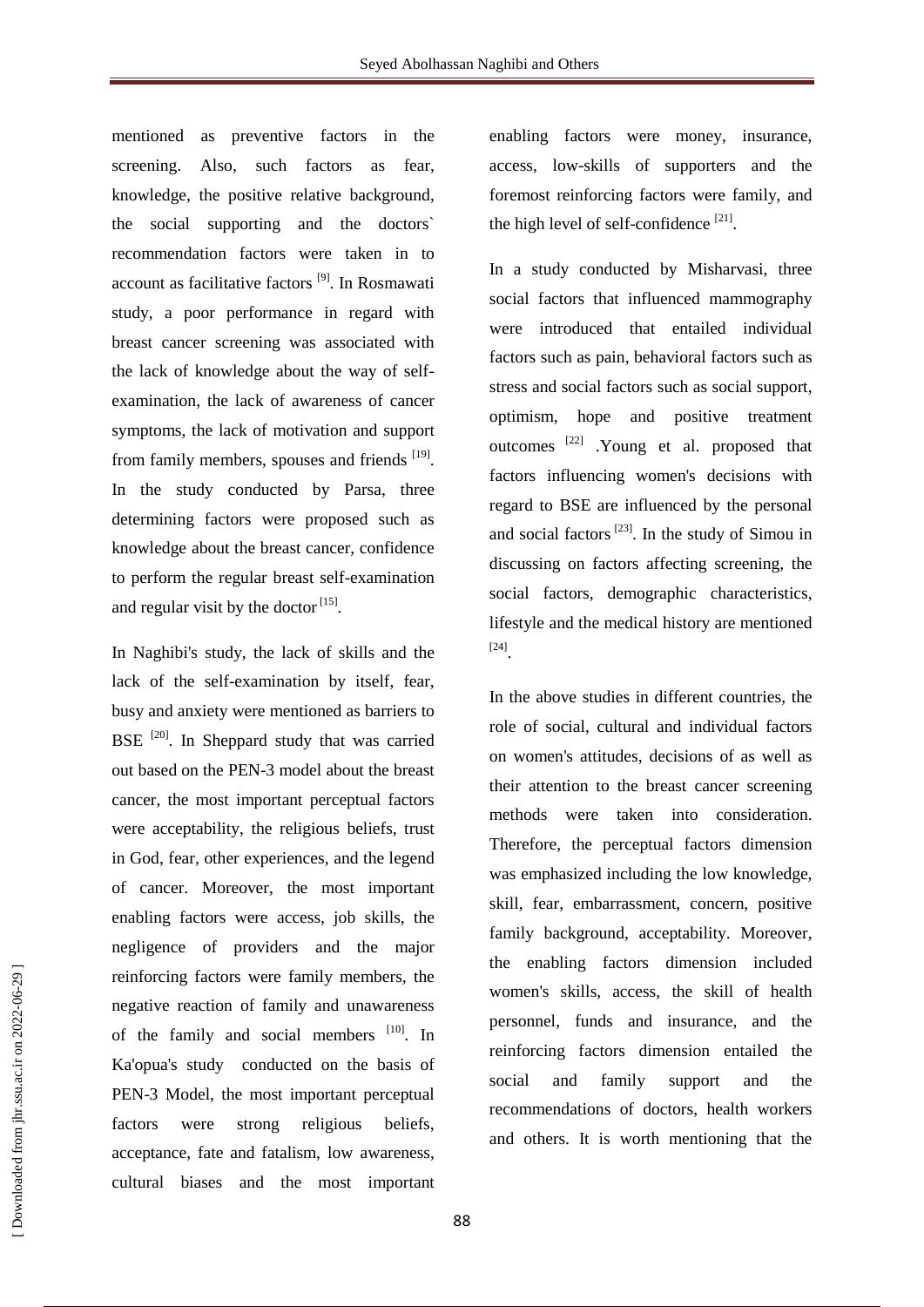mentioned as preventive factors in the screening. Also, such factors as fear, knowledge, the positive relative background, the social supporting and the doctors` recommendation factors were taken in to account as facilitative factors [9] . In Rosmawati study, a poor performance in regard with breast cancer screening was associated with the lack of knowledge about the way of selfexamination, the lack of awareness of cancer symptoms, the lack of motivation and support from family members, spouses and friends [19]. In the study conducted by Parsa, three determining factors were proposed such as knowledge about the breast cancer, confidence to perform the regular breast self-examination and regular visit by the doctor  $[15]$ .

In Naghibi's study, the lack of skills and the lack of the self-examination by itself, fear, busy and anxiety were mentioned as barriers to BSE  $^{[20]}$ . In Sheppard study that was carried out based on the PEN-3 model about the breast cancer, the most important perceptual factors were acceptability, the religious beliefs, trust in God, fear, other experiences, and the legend of cancer. Moreover, the most important enabling factors were access, job skills, the negligence of providers and the major reinforcing factors were family members, the negative reaction of family and unawareness of the family and social members [10]. In Ka'opua's study conducted on the basis of PEN-3 Model, the most important perceptual factors were strong religious beliefs, acceptance, fate and fatalism, low awareness, cultural biases and the most important

enabling factors were money, insurance, access, low-skills of supporters and the foremost reinforcing factors were family, and the high level of self-confidence<sup>[21]</sup>.

In a study conducted by Misharvasi, three social factors that influenced mammography were introduced that entailed individual factors such as pain, behavioral factors such as stress and social factors such as social support, optimism, hope and positive treatment outcomes<sup>[22]</sup> .Young et al. proposed that factors influencing women's decisions with regard to BSE are influenced by the personal and social factors  $^{[23]}$ . In the study of Simou in discussing on factors affecting screening, the social factors, demographic characteristics, lifestyle and the medical history are mentioned [24] .

In the above studies in different countries, the role of social, cultural and individual factors on women's attitudes, decisions of as well as their attention to the breast cancer screening methods were taken into consideration. Therefore, the perceptual factors dimension was emphasized including the low knowledge, skill, fear, embarrassment, concern, positive family background, acceptability. Moreover, the enabling factors dimension included women's skills, access, the skill of health personnel, funds and insurance, and the reinforcing factors dimension entailed the social and family support and the recommendations of doctors, health workers and others. It is worth mentioning that the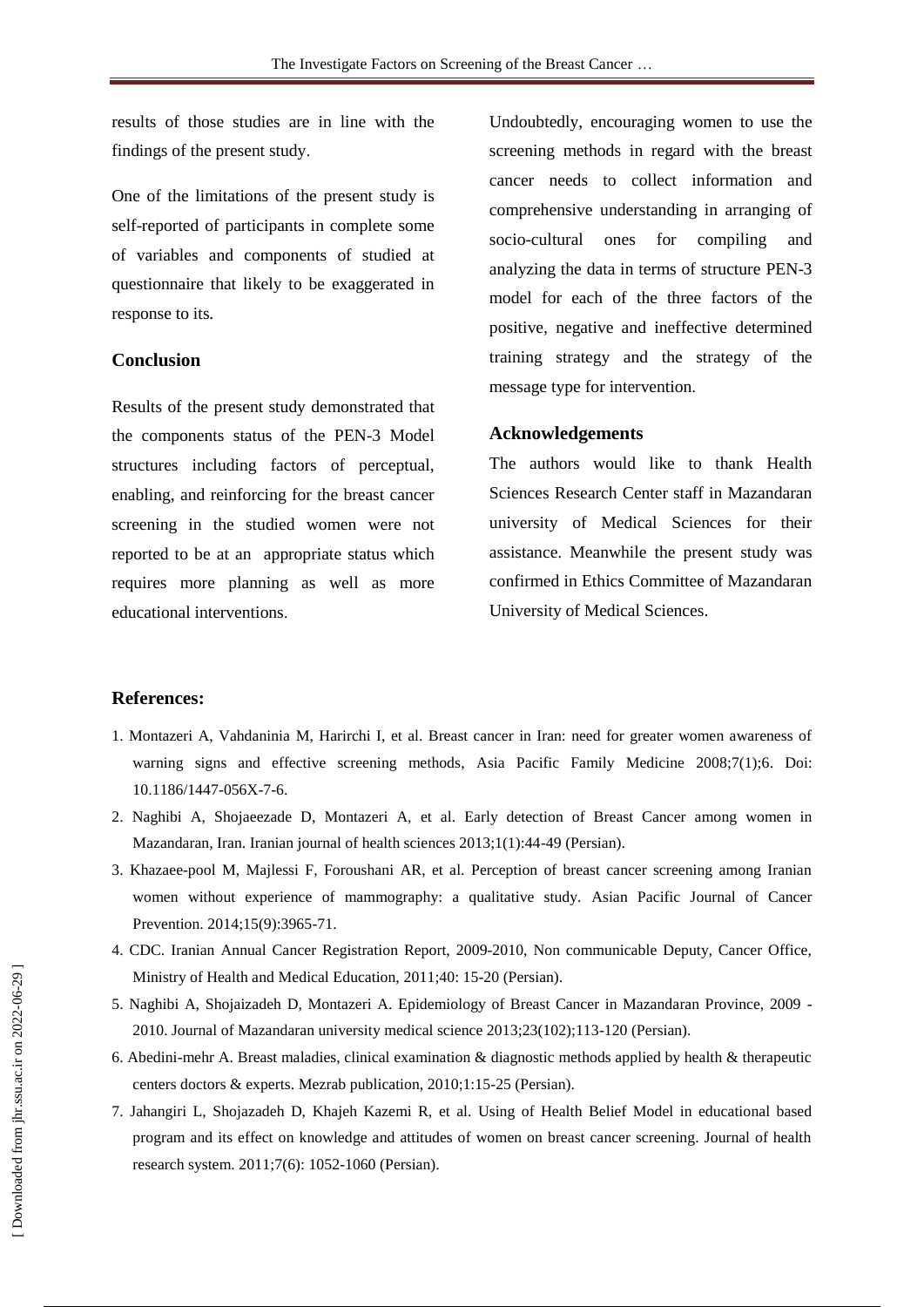results of those studies are in line with the findings of the present study.

One of the limitations of the present study is self-reported of participants in complete some of variables and components of studied at questionnaire that likely to be exaggerated in response to its.

#### **Conclusion**

Results of the present study demonstrated that the components status of the PEN-3 Model structures including factors of perceptual, enabling, and reinforcing for the breast cancer screening in the studied women were not reported to be at an appropriate status which requires more planning as well as more educational interventions.

Undoubtedly, encouraging women to use the screening methods in regard with the breast cancer needs to collect information and comprehensive understanding in arranging of socio-cultural ones for compiling and analyzing the data in terms of structure PEN-3 model for each of the three factors of the positive, negative and ineffective determined training strategy and the strategy of the message type for intervention.

#### **Acknowledgements**

The authors would like to thank Health Sciences Research Center staff in Mazandaran university of Medical Sciences for their assistance. Meanwhile the present study was confirmed in Ethics Committee of Mazandaran University of Medical Sciences.

#### **References:**

- 1. Montazeri A, Vahdaninia M, Harirchi I, et al. Breast cancer in Iran: need for greater women awareness of warning signs and effective screening methods, Asia Pacific Family Medicine 2008;7(1);6. Doi: 10.1186/1447-056X-7-6.
- 2. Naghibi A, Shojaeezade D, Montazeri A, et al. Early detection of Breast Cancer among women in Mazandaran, Iran. Iranian journal of health sciences 2013;1(1):44-49 (Persian).
- 3. [Khazaee-pool M,](http://www.ncbi.nlm.nih.gov/pubmed?term=Khazaee-pool%20M%5BAuthor%5D&cauthor=true&cauthor_uid=24935582) [Majlessi F,](http://www.ncbi.nlm.nih.gov/pubmed?term=Majlessi%20F%5BAuthor%5D&cauthor=true&cauthor_uid=24935582) [Foroushani AR,](http://www.ncbi.nlm.nih.gov/pubmed?term=Foroushani%20AR%5BAuthor%5D&cauthor=true&cauthor_uid=24935582) et al. Perception of breast cancer screening among Iranian women without experience of mammography: a qualitative study. [Asian Pacific Journal of Cancer](http://www.google.com/url?sa=t&rct=j&q=&esrc=s&source=web&cd=3&cad=rja&uact=8&ved=0CC8QFjACahUKEwipoLmu1a3IAhXBBSwKHVrXBw4&url=http%3A%2F%2Fwww.scimagojr.com%2Fjournalsearch.php%3Fq%3D40173%26tip%3Dsid&usg=AFQjCNF8gIoTIPs3oEpU3R9CQ8B2F9NmSQ&sig2=P6FF1TWbfQy6NC7yfbs9Cg)  [Prevention.](http://www.google.com/url?sa=t&rct=j&q=&esrc=s&source=web&cd=3&cad=rja&uact=8&ved=0CC8QFjACahUKEwipoLmu1a3IAhXBBSwKHVrXBw4&url=http%3A%2F%2Fwww.scimagojr.com%2Fjournalsearch.php%3Fq%3D40173%26tip%3Dsid&usg=AFQjCNF8gIoTIPs3oEpU3R9CQ8B2F9NmSQ&sig2=P6FF1TWbfQy6NC7yfbs9Cg) 2014;15(9):3965-71.
- 4. CDC. Iranian Annual Cancer Registration Report, 2009-2010, Non communicable Deputy, Cancer Office, Ministry of Health and Medical Education, 2011;40: 15-20 (Persian).
- 5. Naghibi A, Shojaizadeh D, Montazeri A. Epidemiology of Breast Cancer in Mazandaran Province, 2009 2010. Journal of Mazandaran university medical science 2013;23(102);113-120 (Persian).
- 6. Abedini-mehr A. Breast maladies, clinical examination & diagnostic methods applied by health & therapeutic centers doctors & experts. Mezrab publication, 2010;1:15-25 (Persian).
- 7. Jahangiri L, Shojazadeh D, Khajeh Kazemi R, et al. Using of Health Belief Model in educational based program and its effect on knowledge and attitudes of women on breast cancer screening. Journal of health research system. 2011;7(6): 1052-1060 (Persian).